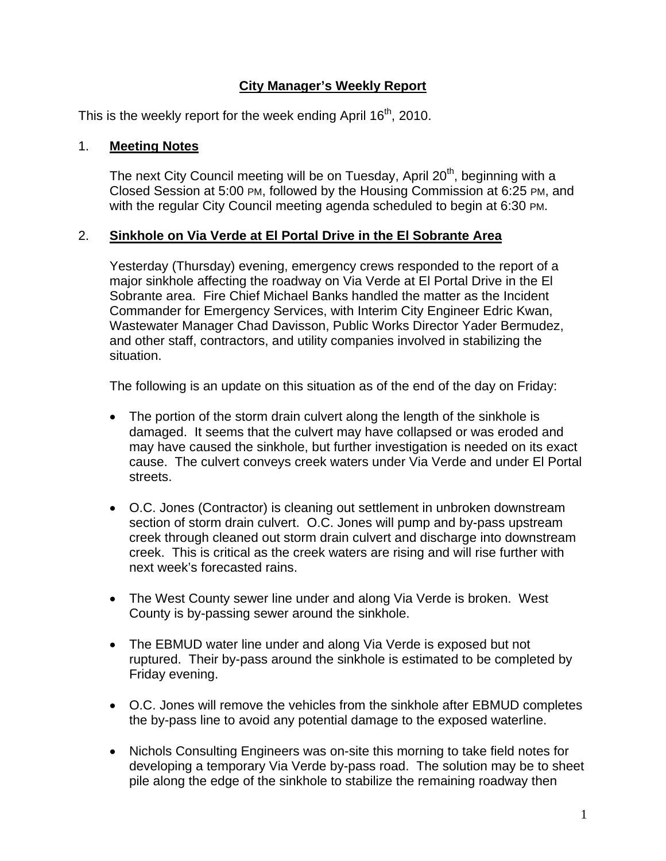# **City Manager's Weekly Report**

This is the weekly report for the week ending April  $16<sup>th</sup>$ , 2010.

#### 1. **Meeting Notes**

The next City Council meeting will be on Tuesday, April 20<sup>th</sup>, beginning with a Closed Session at 5:00 PM, followed by the Housing Commission at 6:25 PM, and with the regular City Council meeting agenda scheduled to begin at 6:30 PM.

### 2. **Sinkhole on Via Verde at El Portal Drive in the El Sobrante Area**

Yesterday (Thursday) evening, emergency crews responded to the report of a major sinkhole affecting the roadway on Via Verde at El Portal Drive in the El Sobrante area. Fire Chief Michael Banks handled the matter as the Incident Commander for Emergency Services, with Interim City Engineer Edric Kwan, Wastewater Manager Chad Davisson, Public Works Director Yader Bermudez, and other staff, contractors, and utility companies involved in stabilizing the situation.

The following is an update on this situation as of the end of the day on Friday:

- The portion of the storm drain culvert along the length of the sinkhole is damaged. It seems that the culvert may have collapsed or was eroded and may have caused the sinkhole, but further investigation is needed on its exact cause. The culvert conveys creek waters under Via Verde and under El Portal streets.
- O.C. Jones (Contractor) is cleaning out settlement in unbroken downstream section of storm drain culvert. O.C. Jones will pump and by-pass upstream creek through cleaned out storm drain culvert and discharge into downstream creek. This is critical as the creek waters are rising and will rise further with next week's forecasted rains.
- The West County sewer line under and along Via Verde is broken. West County is by-passing sewer around the sinkhole.
- The EBMUD water line under and along Via Verde is exposed but not ruptured. Their by-pass around the sinkhole is estimated to be completed by Friday evening.
- O.C. Jones will remove the vehicles from the sinkhole after EBMUD completes the by-pass line to avoid any potential damage to the exposed waterline.
- Nichols Consulting Engineers was on-site this morning to take field notes for developing a temporary Via Verde by-pass road. The solution may be to sheet pile along the edge of the sinkhole to stabilize the remaining roadway then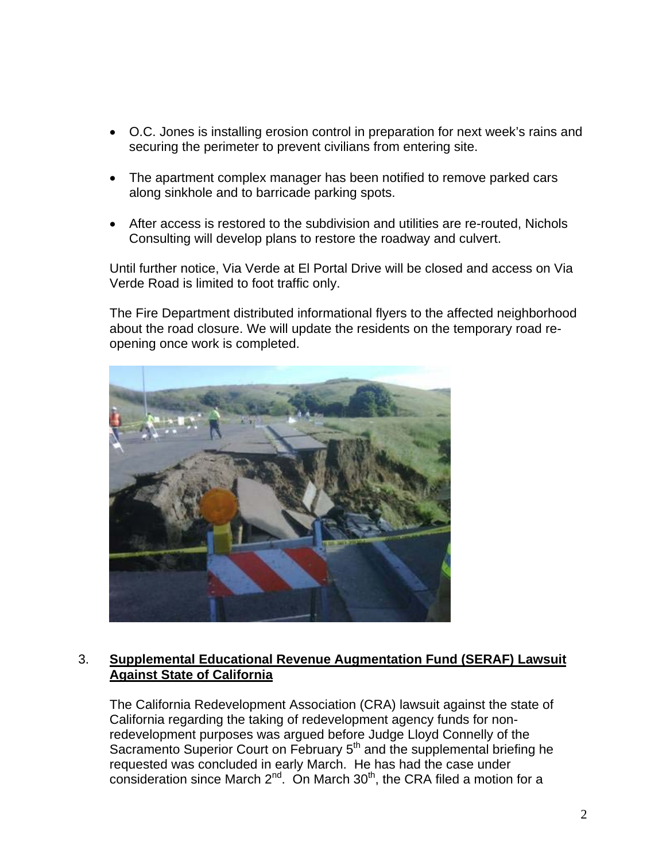- O.C. Jones is installing erosion control in preparation for next week's rains and securing the perimeter to prevent civilians from entering site.
- The apartment complex manager has been notified to remove parked cars along sinkhole and to barricade parking spots.
- After access is restored to the subdivision and utilities are re-routed, Nichols Consulting will develop plans to restore the roadway and culvert.

Until further notice, Via Verde at El Portal Drive will be closed and access on Via Verde Road is limited to foot traffic only.

The Fire Department distributed informational flyers to the affected neighborhood about the road closure. We will update the residents on the temporary road reopening once work is completed.



## 3. **Supplemental Educational Revenue Augmentation Fund (SERAF) Lawsuit Against State of California**

The California Redevelopment Association (CRA) lawsuit against the state of California regarding the taking of redevelopment agency funds for nonredevelopment purposes was argued before Judge Lloyd Connelly of the Sacramento Superior Court on February 5<sup>th</sup> and the supplemental briefing he requested was concluded in early March. He has had the case under consideration since March  $2^{nd}$ . On March  $30<sup>th</sup>$ , the CRA filed a motion for a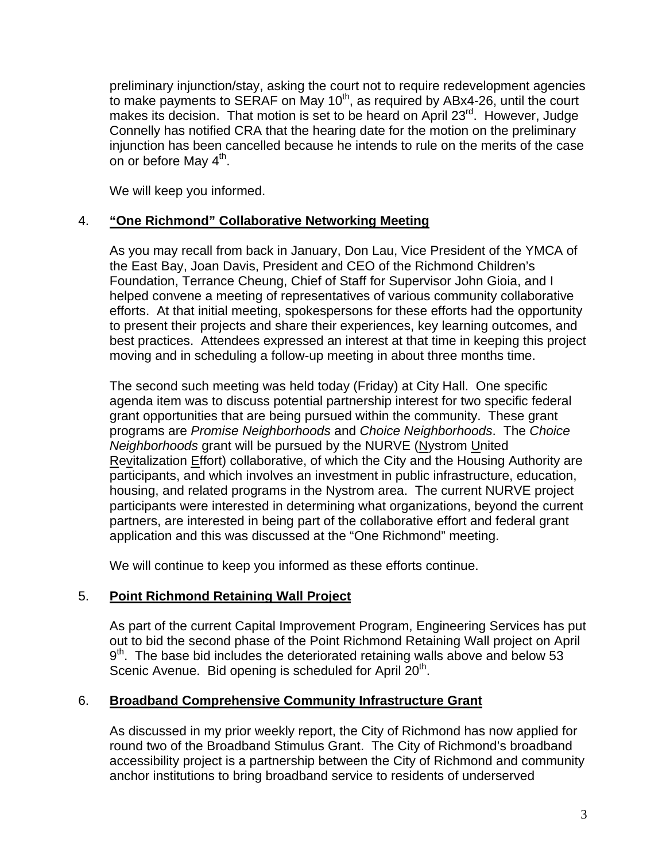preliminary injunction/stay, asking the court not to require redevelopment agencies to make payments to SERAF on May  $10<sup>th</sup>$ , as required by ABx4-26, until the court makes its decision. That motion is set to be heard on April 23<sup>rd</sup>. However, Judge Connelly has notified CRA that the hearing date for the motion on the preliminary injunction has been cancelled because he intends to rule on the merits of the case on or before May  $4<sup>th</sup>$ .

We will keep you informed.

## 4. **"One Richmond" Collaborative Networking Meeting**

As you may recall from back in January, Don Lau, Vice President of the YMCA of the East Bay, Joan Davis, President and CEO of the Richmond Children's Foundation, Terrance Cheung, Chief of Staff for Supervisor John Gioia, and I helped convene a meeting of representatives of various community collaborative efforts. At that initial meeting, spokespersons for these efforts had the opportunity to present their projects and share their experiences, key learning outcomes, and best practices. Attendees expressed an interest at that time in keeping this project moving and in scheduling a follow-up meeting in about three months time.

The second such meeting was held today (Friday) at City Hall. One specific agenda item was to discuss potential partnership interest for two specific federal grant opportunities that are being pursued within the community. These grant programs are *Promise Neighborhoods* and *Choice Neighborhoods*. The *Choice Neighborhoods* grant will be pursued by the NURVE (Nystrom United Revitalization Effort) collaborative, of which the City and the Housing Authority are participants, and which involves an investment in public infrastructure, education, housing, and related programs in the Nystrom area. The current NURVE project participants were interested in determining what organizations, beyond the current partners, are interested in being part of the collaborative effort and federal grant application and this was discussed at the "One Richmond" meeting.

We will continue to keep you informed as these efforts continue.

## 5. **Point Richmond Retaining Wall Project**

As part of the current Capital Improvement Program, Engineering Services has put out to bid the second phase of the Point Richmond Retaining Wall project on April  $9<sup>th</sup>$ . The base bid includes the deteriorated retaining walls above and below 53 Scenic Avenue. Bid opening is scheduled for April 20<sup>th</sup>.

#### 6. **Broadband Comprehensive Community Infrastructure Grant**

As discussed in my prior weekly report, the City of Richmond has now applied for round two of the Broadband Stimulus Grant. The City of Richmond's broadband accessibility project is a partnership between the City of Richmond and community anchor institutions to bring broadband service to residents of underserved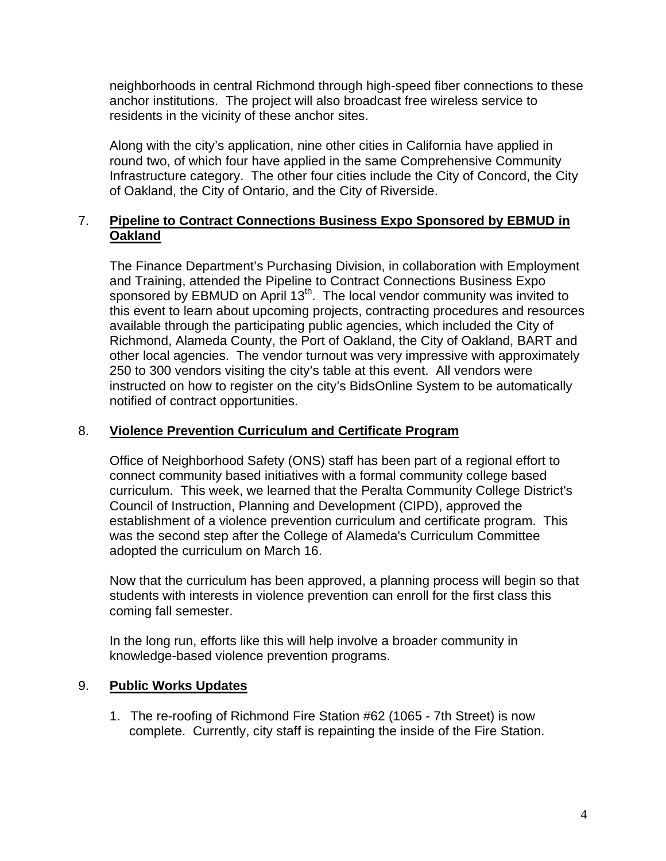neighborhoods in central Richmond through high-speed fiber connections to these anchor institutions. The project will also broadcast free wireless service to residents in the vicinity of these anchor sites.

Along with the city's application, nine other cities in California have applied in round two, of which four have applied in the same Comprehensive Community Infrastructure category. The other four cities include the City of Concord, the City of Oakland, the City of Ontario, and the City of Riverside.

## 7. **Pipeline to Contract Connections Business Expo Sponsored by EBMUD in Oakland**

The Finance Department's Purchasing Division, in collaboration with Employment and Training, attended the Pipeline to Contract Connections Business Expo sponsored by EBMUD on April 13<sup>th</sup>. The local vendor community was invited to this event to learn about upcoming projects, contracting procedures and resources available through the participating public agencies, which included the City of Richmond, Alameda County, the Port of Oakland, the City of Oakland, BART and other local agencies. The vendor turnout was very impressive with approximately 250 to 300 vendors visiting the city's table at this event. All vendors were instructed on how to register on the city's BidsOnline System to be automatically notified of contract opportunities.

#### 8. **Violence Prevention Curriculum and Certificate Program**

Office of Neighborhood Safety (ONS) staff has been part of a regional effort to connect community based initiatives with a formal community college based curriculum. This week, we learned that the Peralta Community College District's Council of Instruction, Planning and Development (CIPD), approved the establishment of a violence prevention curriculum and certificate program. This was the second step after the College of Alameda's Curriculum Committee adopted the curriculum on March 16.

Now that the curriculum has been approved, a planning process will begin so that students with interests in violence prevention can enroll for the first class this coming fall semester.

In the long run, efforts like this will help involve a broader community in knowledge-based violence prevention programs.

#### 9. **Public Works Updates**

1. The re-roofing of Richmond Fire Station #62 (1065 - 7th Street) is now complete. Currently, city staff is repainting the inside of the Fire Station.